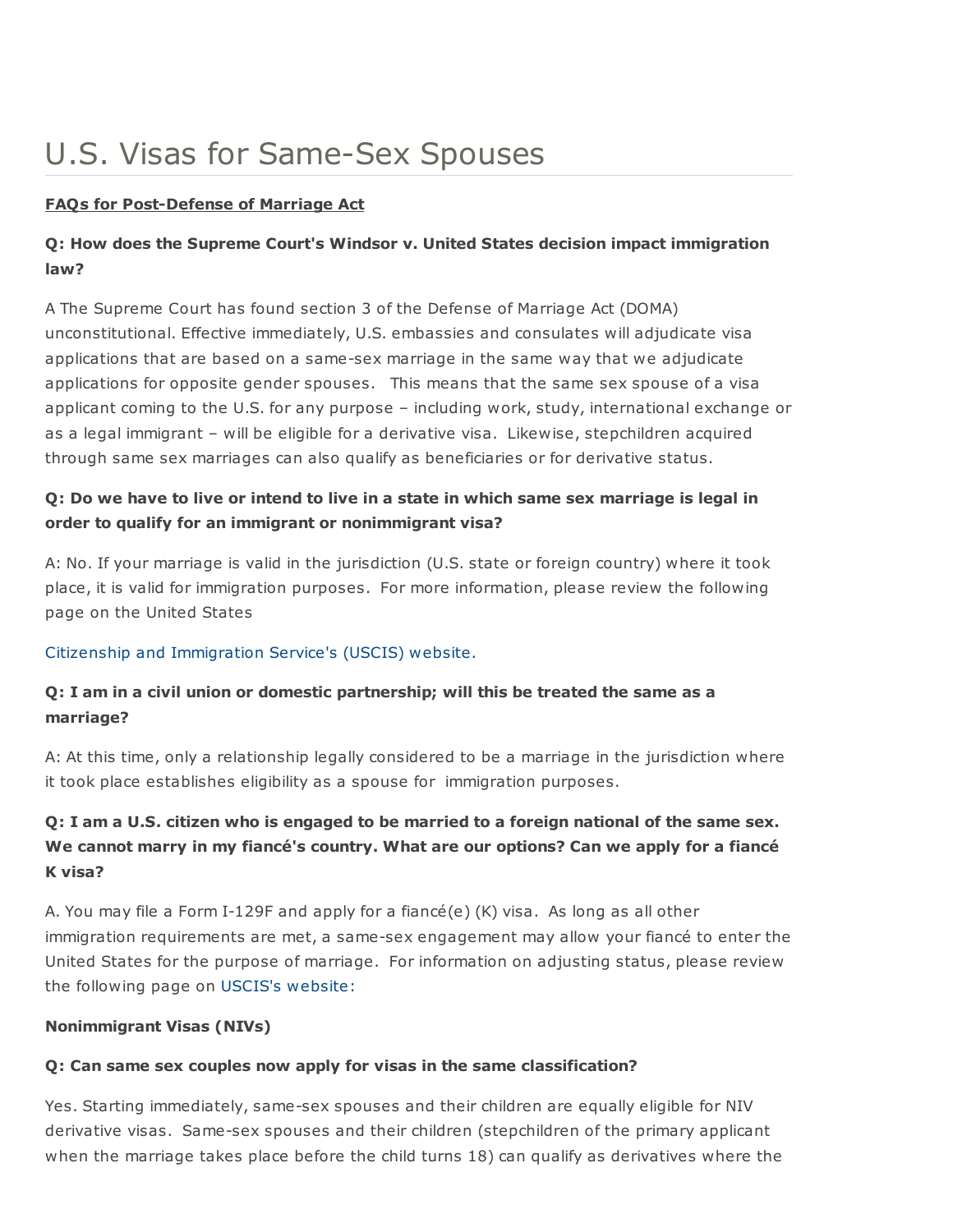# U.S. Visas for Same-Sex Spouses

#### FAQs for Post-Defense of Marriage Act

## Q: How does the Supreme Court's Windsor v. United States decision impact immigration law?

A The Supreme Court has found section 3 of the Defense of Marriage Act (DOMA) unconstitutional. Effective immediately, U.S. embassies and consulates will adjudicate visa applications that are based on a same-sex marriage in the same way that we adjudicate applications for opposite gender spouses. This means that the same sex spouse of a visa applicant coming to the U.S. for any purpose – including work, study, international exchange or as a legal immigrant – will be eligible for a derivative visa. Likewise, stepchildren acquired through same sex marriages can also qualify as beneficiaries or for derivative status.

## Q: Do we have to live or intend to live in a state in which same sex marriage is legal in order to qualify for an immigrant or nonimmigrant visa?

A: No. If your marriage is valid in the jurisdiction (U.S. state or foreign country) where it took place, it is valid for immigration purposes. For more information, please review the following page on the United States

### Citizenship and [Immigration](http://www.uscis.gov/portal/site/uscis/menuitem.eb1d4c2a3e5b9ac89243c6a7543f6d1a/?vgnextoid=2543215c310af310VgnVCM100000082ca60aRCRD&vgnextchannel=2543215c310af310VgnVCM100000082ca60aRCRD) Service's (USCIS) website.

## Q: I am in a civil union or domestic partnership; will this be treated the same as a marriage?

A: At this time, only a relationship legally considered to be a marriage in the jurisdiction where it took place establishes eligibility as a spouse for immigration purposes.

# Q: I am a U.S. citizen who is engaged to be married to a foreign national of the same sex. We cannot marry in my fiancé's country. What are our options? Can we apply for a fiancé K visa?

A. You may file a Form I-129F and apply for a fiancé(e) (K) visa. As long as all other immigration requirements are met, a same-sex engagement may allow your fiancé to enter the United States for the purpose of marriage. For information on adjusting status, please review the following page on USCIS's [website:](http://www.uscis.gov/portal/site/uscis/menuitem.eb1d4c2a3e5b9ac89243c6a7543f6d1a/?vgnextoid=2da73a4107083210VgnVCM100000082ca60aRCRD&vgnextchannel=2da73a4107083210VgnVCM100000082ca60aRCRD)

### Nonimmigrant Visas (NIVs)

### Q: Can same sex couples now apply for visas in the same classification?

Yes. Starting immediately, same-sex spouses and their children are equally eligible for NIV derivative visas. Same-sex spouses and their children (stepchildren of the primary applicant when the marriage takes place before the child turns 18) can qualify as derivatives where the